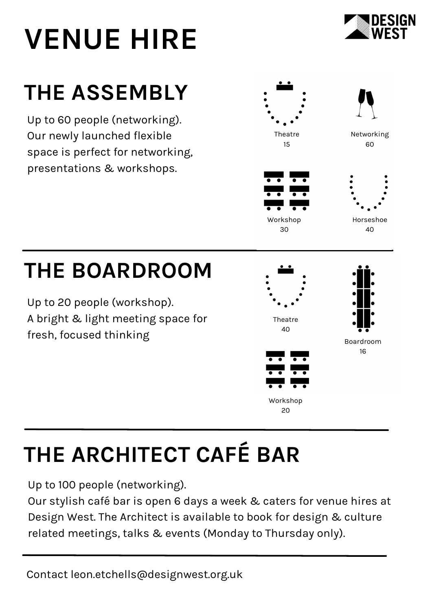# **VENUE HIRE**



### **THE ASSEMBLY**

Up to 60 people (networking). Our newly launched flexible space is perfect for networking, presentations & workshops.







### **THE BOARDROOM**

Up to 20 people (workshop). A bright & light meeting space for fresh, focused thinking







## **THE ARCHITECT CAFÉ BAR**

Up to 100 people (networking).

Our stylish café bar is open 6 days a week & caters for venue hires at Design West. The Architect is available to book for design & culture related meetings, talks & events (Monday to Thursday only).